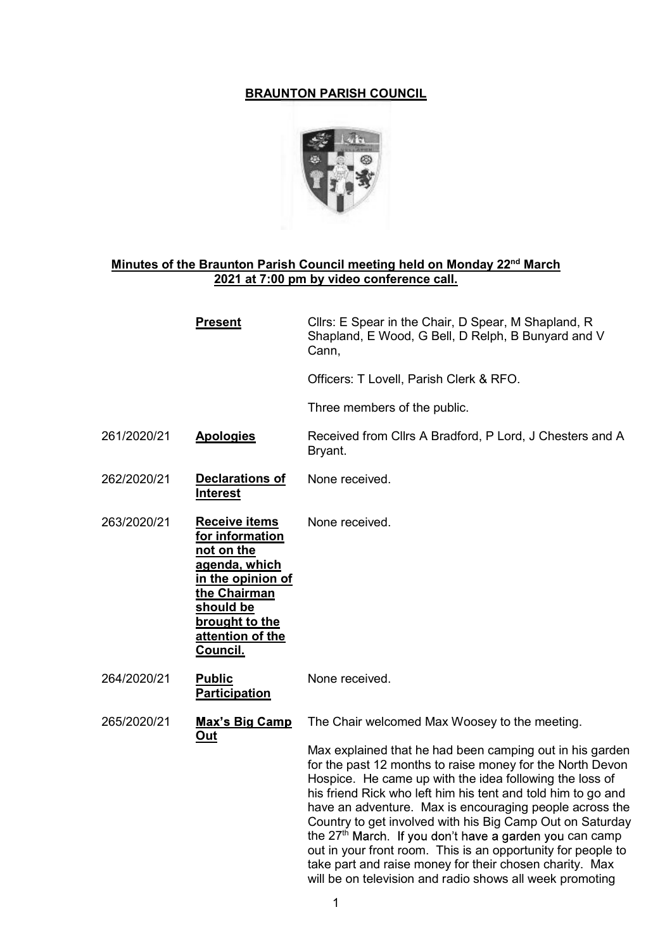# BRAUNTON PARISH COUNCIL



# Minutes of the Braunton Parish Council meeting held on Monday 22<sup>nd</sup> March 2021 at 7:00 pm by video conference call.

|             | <b>Present</b>                                                                                                                                                             | Cllrs: E Spear in the Chair, D Spear, M Shapland, R<br>Shapland, E Wood, G Bell, D Relph, B Bunyard and V<br>Cann,                                                                                                                                                                                                                                                                                                                                                                                                                                                                                                                                                                      |
|-------------|----------------------------------------------------------------------------------------------------------------------------------------------------------------------------|-----------------------------------------------------------------------------------------------------------------------------------------------------------------------------------------------------------------------------------------------------------------------------------------------------------------------------------------------------------------------------------------------------------------------------------------------------------------------------------------------------------------------------------------------------------------------------------------------------------------------------------------------------------------------------------------|
|             |                                                                                                                                                                            | Officers: T Lovell, Parish Clerk & RFO.                                                                                                                                                                                                                                                                                                                                                                                                                                                                                                                                                                                                                                                 |
|             |                                                                                                                                                                            | Three members of the public.                                                                                                                                                                                                                                                                                                                                                                                                                                                                                                                                                                                                                                                            |
| 261/2020/21 | <b>Apologies</b>                                                                                                                                                           | Received from Cllrs A Bradford, P Lord, J Chesters and A<br>Bryant.                                                                                                                                                                                                                                                                                                                                                                                                                                                                                                                                                                                                                     |
| 262/2020/21 | <b>Declarations of</b><br><b>Interest</b>                                                                                                                                  | None received.                                                                                                                                                                                                                                                                                                                                                                                                                                                                                                                                                                                                                                                                          |
| 263/2020/21 | <b>Receive items</b><br>for information<br>not on the<br>agenda, which<br>in the opinion of<br>the Chairman<br>should be<br>brought to the<br>attention of the<br>Council. | None received.                                                                                                                                                                                                                                                                                                                                                                                                                                                                                                                                                                                                                                                                          |
| 264/2020/21 | <b>Public</b><br><b>Participation</b>                                                                                                                                      | None received.                                                                                                                                                                                                                                                                                                                                                                                                                                                                                                                                                                                                                                                                          |
| 265/2020/21 | <u>Max's Big Camp</u><br><u>Out</u>                                                                                                                                        | The Chair welcomed Max Woosey to the meeting.<br>Max explained that he had been camping out in his garden<br>for the past 12 months to raise money for the North Devon<br>Hospice. He came up with the idea following the loss of<br>his friend Rick who left him his tent and told him to go and<br>have an adventure. Max is encouraging people across the<br>Country to get involved with his Big Camp Out on Saturday<br>the 27 <sup>th</sup> March. If you don't have a garden you can camp<br>out in your front room. This is an opportunity for people to<br>take part and raise money for their chosen charity. Max<br>will be on television and radio shows all week promoting |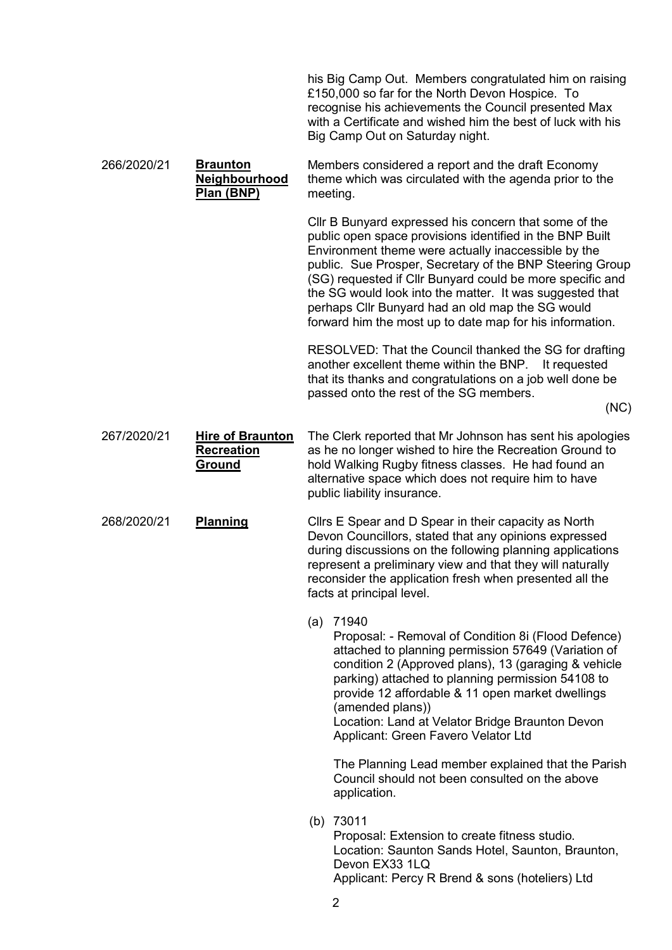his Big Camp Out. Members congratulated him on raising £150,000 so far for the North Devon Hospice. To recognise his achievements the Council presented Max with a Certificate and wished him the best of luck with his Big Camp Out on Saturday night.

 266/2020/21 Braunton **Neighbourhood** Plan (BNP) Members considered a report and the draft Economy theme which was circulated with the agenda prior to the meeting.

> Cllr B Bunyard expressed his concern that some of the public open space provisions identified in the BNP Built Environment theme were actually inaccessible by the public. Sue Prosper, Secretary of the BNP Steering Group (SG) requested if Cllr Bunyard could be more specific and the SG would look into the matter. It was suggested that perhaps Cllr Bunyard had an old map the SG would forward him the most up to date map for his information.

RESOLVED: That the Council thanked the SG for drafting another excellent theme within the BNP. It requested that its thanks and congratulations on a job well done be passed onto the rest of the SG members.

(NC)

#### 267/2020/21 Hire of Braunton **Recreation** Ground The Clerk reported that Mr Johnson has sent his apologies as he no longer wished to hire the Recreation Ground to hold Walking Rugby fitness classes. He had found an alternative space which does not require him to have public liability insurance.

## 268/2020/21 Planning Cllrs E Spear and D Spear in their capacity as North Devon Councillors, stated that any opinions expressed during discussions on the following planning applications represent a preliminary view and that they will naturally reconsider the application fresh when presented all the facts at principal level.

(a) 71940

Proposal: - Removal of Condition 8i (Flood Defence) attached to planning permission 57649 (Variation of condition 2 (Approved plans), 13 (garaging & vehicle parking) attached to planning permission 54108 to provide 12 affordable & 11 open market dwellings (amended plans))

Location: Land at Velator Bridge Braunton Devon Applicant: Green Favero Velator Ltd

The Planning Lead member explained that the Parish Council should not been consulted on the above application.

(b) 73011

Proposal: Extension to create fitness studio. Location: Saunton Sands Hotel, Saunton, Braunton, Devon EX33 1LQ Applicant: Percy R Brend & sons (hoteliers) Ltd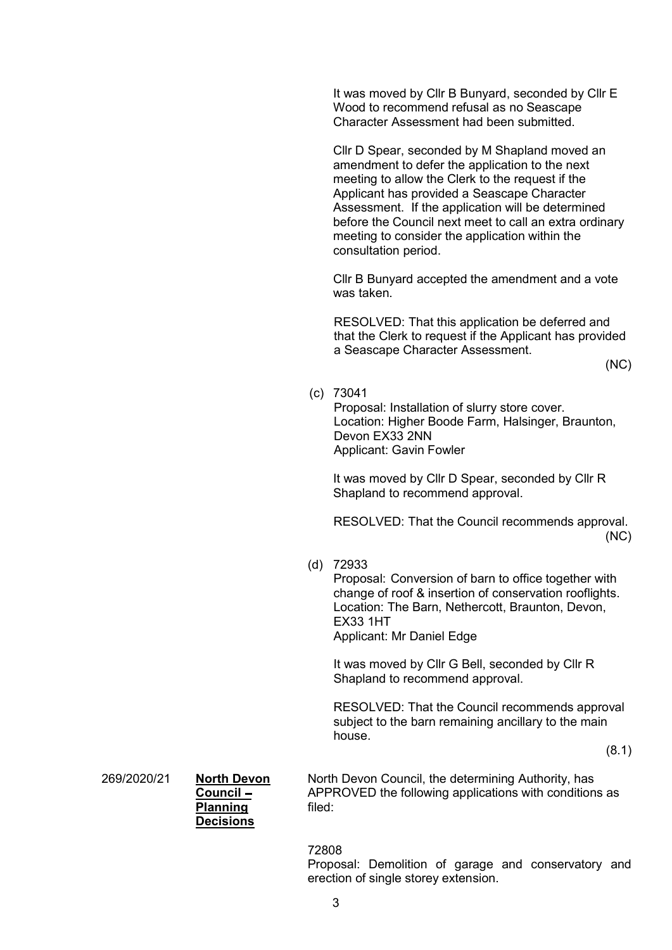It was moved by Cllr B Bunyard, seconded by Cllr E Wood to recommend refusal as no Seascape Character Assessment had been submitted.

Cllr D Spear, seconded by M Shapland moved an amendment to defer the application to the next meeting to allow the Clerk to the request if the Applicant has provided a Seascape Character Assessment. If the application will be determined before the Council next meet to call an extra ordinary meeting to consider the application within the consultation period.

Cllr B Bunyard accepted the amendment and a vote was taken.

RESOLVED: That this application be deferred and that the Clerk to request if the Applicant has provided a Seascape Character Assessment.

(NC)

(c) 73041

Proposal: Installation of slurry store cover. Location: Higher Boode Farm, Halsinger, Braunton, Devon EX33 2NN Applicant: Gavin Fowler

It was moved by Cllr D Spear, seconded by Cllr R Shapland to recommend approval.

RESOLVED: That the Council recommends approval. (NC)

(d) 72933

Proposal: Conversion of barn to office together with change of roof & insertion of conservation rooflights. Location: The Barn, Nethercott, Braunton, Devon, EX33 1HT

Applicant: Mr Daniel Edge

It was moved by Cllr G Bell, seconded by Cllr R Shapland to recommend approval.

RESOLVED: That the Council recommends approval subject to the barn remaining ancillary to the main house.

(8.1)

269/2020/21 North Devon

| North De      |
|---------------|
| <b>APPROV</b> |
| filed:        |
|               |
|               |

**Council –** APPROVED the following applications with conditions as **Planning** filed: North Devon Council, the determining Authority, has

### 72808

Proposal: Demolition of garage and conservatory and erection of single storey extension.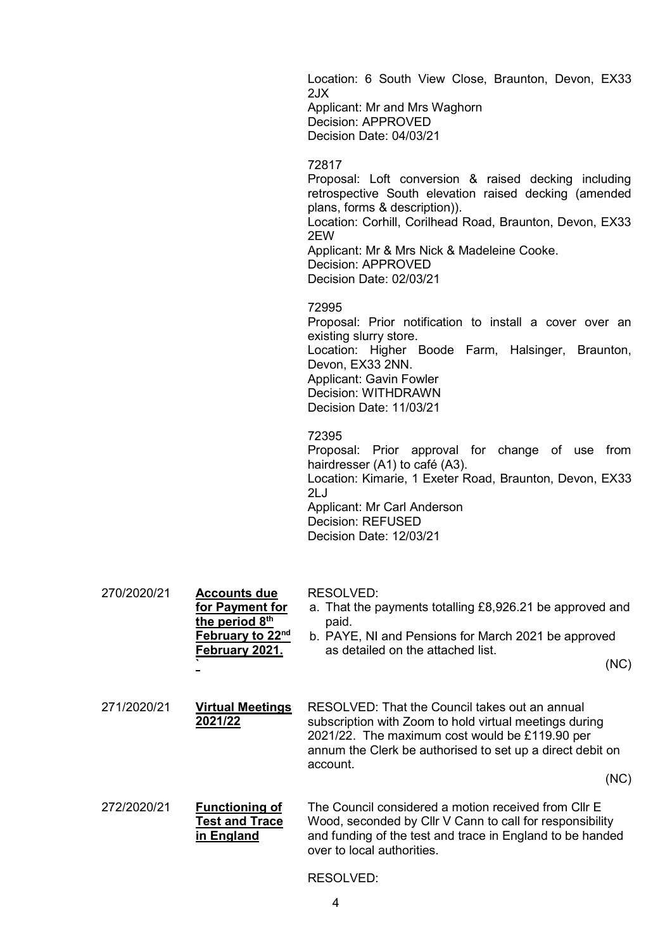Location: 6 South View Close, Braunton, Devon, EX33 2JX Applicant: Mr and Mrs Waghorn Decision: APPROVED Decision Date: 04/03/21

### 72817

Proposal: Loft conversion & raised decking including retrospective South elevation raised decking (amended plans, forms & description)). Location: Corhill, Corilhead Road, Braunton, Devon, EX33 2EW Applicant: Mr & Mrs Nick & Madeleine Cooke. Decision: APPROVED Decision Date: 02/03/21

#### 72995

Proposal: Prior notification to install a cover over an existing slurry store. Location: Higher Boode Farm, Halsinger, Braunton, Devon, EX33 2NN. Applicant: Gavin Fowler Decision: WITHDRAWN Decision Date: 11/03/21

#### 72395

Proposal: Prior approval for change of use from hairdresser (A1) to café (A3). Location: Kimarie, 1 Exeter Road, Braunton, Devon, EX33 2LJ Applicant: Mr Carl Anderson Decision: REFUSED Decision Date: 12/03/21

| 270/2020/21 | <b>Accounts due</b><br>for Payment for<br>the period 8 <sup>th</sup><br><b>February to 22<sup>nd</sup></b><br>February 2021. | <b>RESOLVED:</b><br>a. That the payments totalling £8,926.21 be approved and<br>paid.<br>b. PAYE, NI and Pensions for March 2021 be approved<br>as detailed on the attached list.<br>(NC)                                                   |
|-------------|------------------------------------------------------------------------------------------------------------------------------|---------------------------------------------------------------------------------------------------------------------------------------------------------------------------------------------------------------------------------------------|
| 271/2020/21 | <b>Virtual Meetings</b><br>2021/22                                                                                           | RESOLVED: That the Council takes out an annual<br>subscription with Zoom to hold virtual meetings during<br>2021/22. The maximum cost would be £119.90 per<br>annum the Clerk be authorised to set up a direct debit on<br>account.<br>(NC) |
| 272/2020/21 | <b>Functioning of</b><br><b>Test and Trace</b><br>in England                                                                 | The Council considered a motion received from CIIr E<br>Wood, seconded by Cllr V Cann to call for responsibility<br>and funding of the test and trace in England to be handed<br>over to local authorities.                                 |

### RESOLVED: